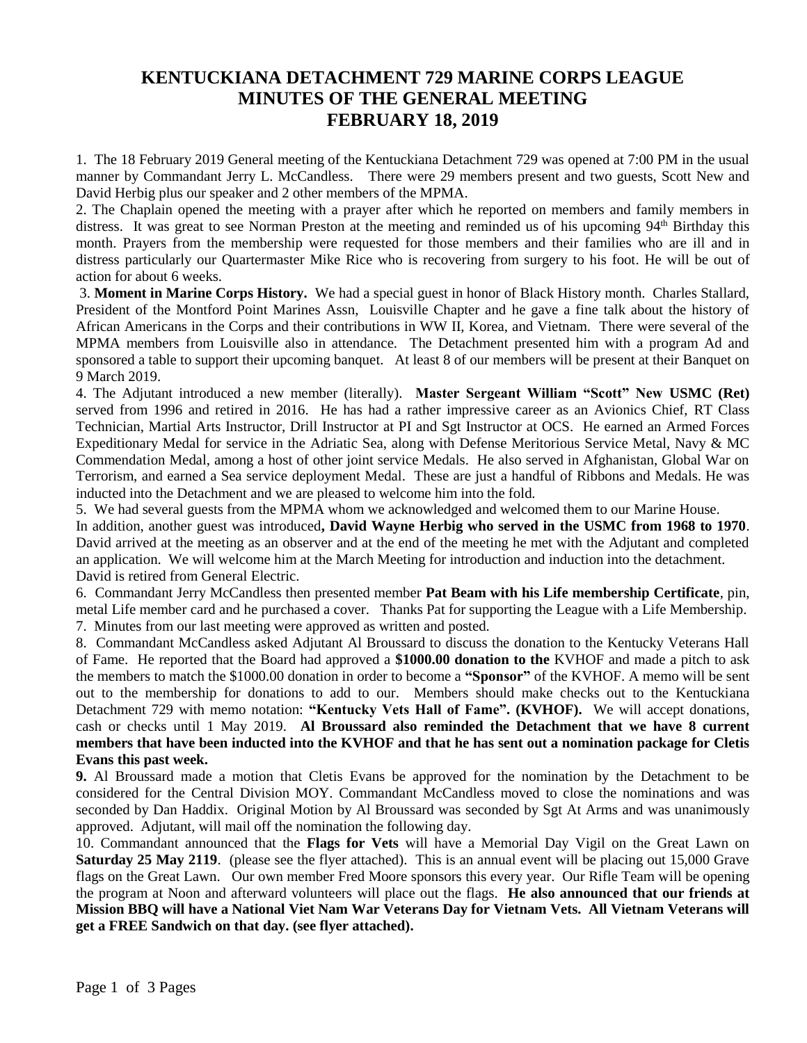## **KENTUCKIANA DETACHMENT 729 MARINE CORPS LEAGUE MINUTES OF THE GENERAL MEETING FEBRUARY 18, 2019**

1. The 18 February 2019 General meeting of the Kentuckiana Detachment 729 was opened at 7:00 PM in the usual manner by Commandant Jerry L. McCandless. There were 29 members present and two guests, Scott New and David Herbig plus our speaker and 2 other members of the MPMA.

2. The Chaplain opened the meeting with a prayer after which he reported on members and family members in distress. It was great to see Norman Preston at the meeting and reminded us of his upcoming 94<sup>th</sup> Birthday this month. Prayers from the membership were requested for those members and their families who are ill and in distress particularly our Quartermaster Mike Rice who is recovering from surgery to his foot. He will be out of action for about 6 weeks.

3. **Moment in Marine Corps History.** We had a special guest in honor of Black History month. Charles Stallard, President of the Montford Point Marines Assn, Louisville Chapter and he gave a fine talk about the history of African Americans in the Corps and their contributions in WW II, Korea, and Vietnam. There were several of the MPMA members from Louisville also in attendance. The Detachment presented him with a program Ad and sponsored a table to support their upcoming banquet. At least 8 of our members will be present at their Banquet on 9 March 2019.

4. The Adjutant introduced a new member (literally). **Master Sergeant William "Scott" New USMC (Ret)** served from 1996 and retired in 2016. He has had a rather impressive career as an Avionics Chief, RT Class Technician, Martial Arts Instructor, Drill Instructor at PI and Sgt Instructor at OCS. He earned an Armed Forces Expeditionary Medal for service in the Adriatic Sea, along with Defense Meritorious Service Metal, Navy & MC Commendation Medal, among a host of other joint service Medals. He also served in Afghanistan, Global War on Terrorism, and earned a Sea service deployment Medal. These are just a handful of Ribbons and Medals. He was inducted into the Detachment and we are pleased to welcome him into the fold.

5. We had several guests from the MPMA whom we acknowledged and welcomed them to our Marine House.

In addition, another guest was introduced**, David Wayne Herbig who served in the USMC from 1968 to 1970**. David arrived at the meeting as an observer and at the end of the meeting he met with the Adjutant and completed an application. We will welcome him at the March Meeting for introduction and induction into the detachment. David is retired from General Electric.

6. Commandant Jerry McCandless then presented member **Pat Beam with his Life membership Certificate**, pin, metal Life member card and he purchased a cover. Thanks Pat for supporting the League with a Life Membership. 7. Minutes from our last meeting were approved as written and posted.

8. Commandant McCandless asked Adjutant Al Broussard to discuss the donation to the Kentucky Veterans Hall of Fame. He reported that the Board had approved a **\$1000.00 donation to the** KVHOF and made a pitch to ask the members to match the \$1000.00 donation in order to become a **"Sponsor"** of the KVHOF. A memo will be sent out to the membership for donations to add to our. Members should make checks out to the Kentuckiana Detachment 729 with memo notation: **"Kentucky Vets Hall of Fame". (KVHOF).** We will accept donations, cash or checks until 1 May 2019. **Al Broussard also reminded the Detachment that we have 8 current members that have been inducted into the KVHOF and that he has sent out a nomination package for Cletis Evans this past week.** 

## **9.** Al Broussard made a motion that Cletis Evans be approved for the nomination by the Detachment to be considered for the Central Division MOY. Commandant McCandless moved to close the nominations and was seconded by Dan Haddix. Original Motion by Al Broussard was seconded by Sgt At Arms and was unanimously approved. Adjutant, will mail off the nomination the following day.

10. Commandant announced that the **Flags for Vets** will have a Memorial Day Vigil on the Great Lawn on **Saturday 25 May 2119.** (please see the flyer attached). This is an annual event will be placing out 15,000 Grave flags on the Great Lawn. Our own member Fred Moore sponsors this every year. Our Rifle Team will be opening the program at Noon and afterward volunteers will place out the flags. **He also announced that our friends at Mission BBQ will have a National Viet Nam War Veterans Day for Vietnam Vets. All Vietnam Veterans will get a FREE Sandwich on that day. (see flyer attached).**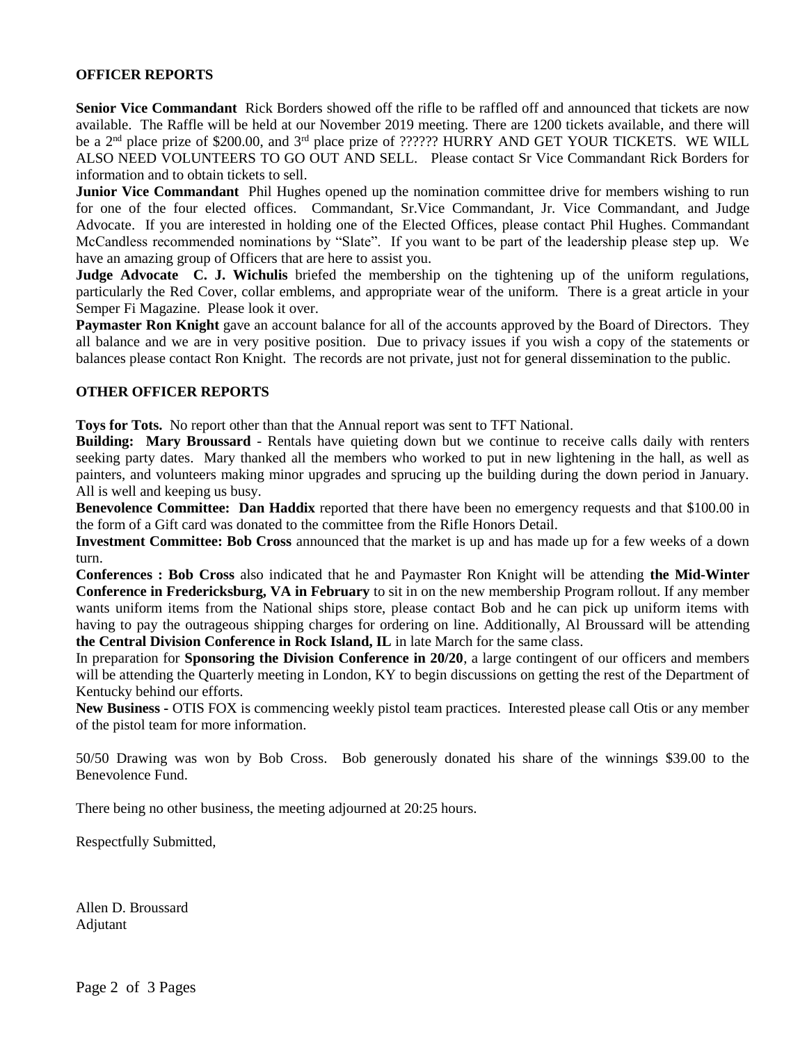## **OFFICER REPORTS**

**Senior Vice Commandant** Rick Borders showed off the rifle to be raffled off and announced that tickets are now available. The Raffle will be held at our November 2019 meeting. There are 1200 tickets available, and there will be a  $2<sup>nd</sup>$  place prize of \$200.00, and  $3<sup>rd</sup>$  place prize of ?????? HURRY AND GET YOUR TICKETS. WE WILL ALSO NEED VOLUNTEERS TO GO OUT AND SELL. Please contact Sr Vice Commandant Rick Borders for information and to obtain tickets to sell.

**Junior Vice Commandant** Phil Hughes opened up the nomination committee drive for members wishing to run for one of the four elected offices. Commandant, Sr.Vice Commandant, Jr. Vice Commandant, and Judge Advocate. If you are interested in holding one of the Elected Offices, please contact Phil Hughes. Commandant McCandless recommended nominations by "Slate". If you want to be part of the leadership please step up. We have an amazing group of Officers that are here to assist you.

**Judge Advocate C. J. Wichulis** briefed the membership on the tightening up of the uniform regulations, particularly the Red Cover, collar emblems, and appropriate wear of the uniform. There is a great article in your Semper Fi Magazine. Please look it over.

**Paymaster Ron Knight** gave an account balance for all of the accounts approved by the Board of Directors. They all balance and we are in very positive position. Due to privacy issues if you wish a copy of the statements or balances please contact Ron Knight. The records are not private, just not for general dissemination to the public.

## **OTHER OFFICER REPORTS**

**Toys for Tots.** No report other than that the Annual report was sent to TFT National.

**Building: Mary Broussard** - Rentals have quieting down but we continue to receive calls daily with renters seeking party dates. Mary thanked all the members who worked to put in new lightening in the hall, as well as painters, and volunteers making minor upgrades and sprucing up the building during the down period in January. All is well and keeping us busy.

**Benevolence Committee: Dan Haddix** reported that there have been no emergency requests and that \$100.00 in the form of a Gift card was donated to the committee from the Rifle Honors Detail.

**Investment Committee: Bob Cross** announced that the market is up and has made up for a few weeks of a down turn.

**Conferences : Bob Cross** also indicated that he and Paymaster Ron Knight will be attending **the Mid-Winter Conference in Fredericksburg, VA in February** to sit in on the new membership Program rollout. If any member wants uniform items from the National ships store, please contact Bob and he can pick up uniform items with having to pay the outrageous shipping charges for ordering on line. Additionally, Al Broussard will be attending **the Central Division Conference in Rock Island, IL** in late March for the same class.

In preparation for **Sponsoring the Division Conference in 20/20**, a large contingent of our officers and members will be attending the Quarterly meeting in London, KY to begin discussions on getting the rest of the Department of Kentucky behind our efforts.

**New Business -** OTIS FOX is commencing weekly pistol team practices. Interested please call Otis or any member of the pistol team for more information.

50/50 Drawing was won by Bob Cross. Bob generously donated his share of the winnings \$39.00 to the Benevolence Fund.

There being no other business, the meeting adjourned at 20:25 hours.

Respectfully Submitted,

Allen D. Broussard Adjutant